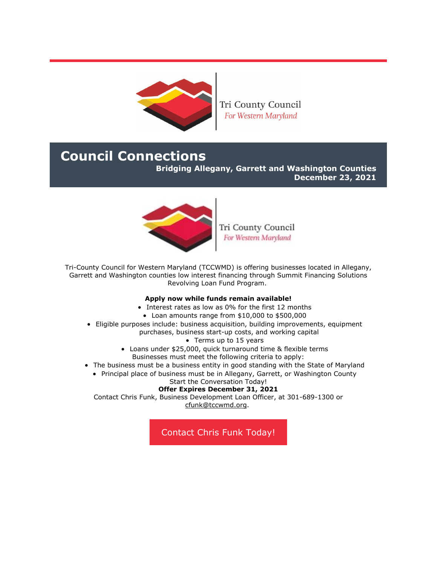

Tri County Council For Western Maryland

# **Council Connections**

**Bridging Allegany, Garrett and Washington Counties**

**December 23, 2021**



Tri County Council For Western Maryland

Tri-County Council for Western Maryland (TCCWMD) is offering businesses located in Allegany, Garrett and Washington counties low interest financing through Summit Financing Solutions Revolving Loan Fund Program.

## **Apply now while funds remain available!**

- Interest rates as low as 0% for the first 12 months
- Loan amounts range from \$10,000 to \$500,000
- Eligible purposes include: business acquisition, building improvements, equipment purchases, business start-up costs, and working capital
	- Terms up to 15 years
	- Loans under \$25,000, quick turnaround time & flexible terms Businesses must meet the following criteria to apply:
- The business must be a business entity in good standing with the State of Maryland
	- Principal place of business must be in Allegany, Garrett, or Washington County

#### Start the Conversation Today! **Offer Expires December 31, 2021**

Contact Chris Funk, Business Development Loan Officer, at 301-689-1300 or [cfunk@tccwmd.org.](mailto:cfunk@tccwmd.org)

[Contact Chris Funk Today!](mailto:cfunk@tccwmd.org)